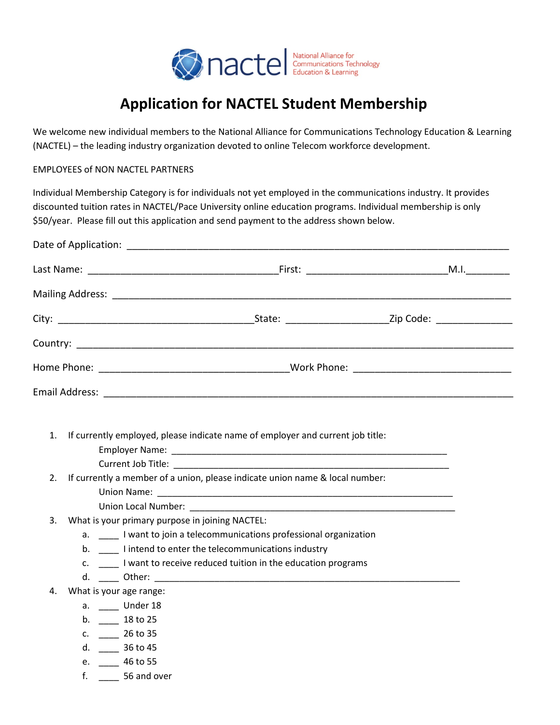

# **Application for NACTEL Student Membership**

We welcome new individual members to the National Alliance for Communications Technology Education & Learning (NACTEL) – the leading industry organization devoted to online Telecom workforce development.

## EMPLOYEES of NON NACTEL PARTNERS

Individual Membership Category is for individuals not yet employed in the communications industry. It provides discounted tuition rates in NACTEL/Pace University online education programs. Individual membership is only \$50/year. Please fill out this application and send payment to the address shown below.

| 1.<br>$\overline{2}$ .<br>3. | What is your primary purpose in joining NACTEL:                                                                                                | If currently employed, please indicate name of employer and current job title:<br>If currently a member of a union, please indicate union name & local number:<br>Union Local Number: New York and Services and Services and Services and Services and Services and Services and Services and Services and Services and Services and Services and Services and Services and Services and Service |  |
|------------------------------|------------------------------------------------------------------------------------------------------------------------------------------------|--------------------------------------------------------------------------------------------------------------------------------------------------------------------------------------------------------------------------------------------------------------------------------------------------------------------------------------------------------------------------------------------------|--|
|                              |                                                                                                                                                | a. <b>I</b> want to join a telecommunications professional organization<br>b. ______ I intend to enter the telecommunications industry<br>c. ______ I want to receive reduced tuition in the education programs                                                                                                                                                                                  |  |
| 4.                           | What is your age range:<br>a. _____ Under 18<br>b. 18 to 25<br>c. $26 \text{ to } 35$<br>d. ______ 36 to 45<br>e. 46 to 55<br>$f.$ 56 and over |                                                                                                                                                                                                                                                                                                                                                                                                  |  |